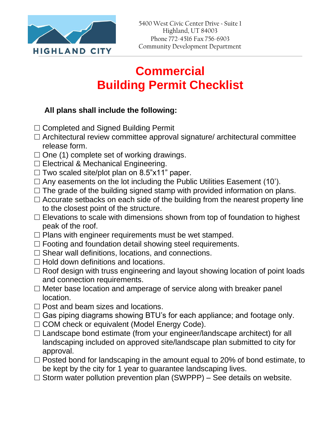

## **Commercial Building Permit Checklist**

## **All plans shall include the following:**

- □ Completed and Signed Building Permit
- $\Box$  Architectural review committee approval signature/ architectural committee release form.
- $\square$  One (1) complete set of working drawings.
- □ Electrical & Mechanical Engineering.
- $\Box$  Two scaled site/plot plan on 8.5"x11" paper.
- $\square$  Any easements on the lot including the Public Utilities Easement (10').
- $\square$  The grade of the building signed stamp with provided information on plans.
- $\Box$  Accurate setbacks on each side of the building from the nearest property line to the closest point of the structure.
- $\square$  Elevations to scale with dimensions shown from top of foundation to highest peak of the roof.
- $\square$  Plans with engineer requirements must be wet stamped.
- $\Box$  Footing and foundation detail showing steel requirements.
- $\square$  Shear wall definitions, locations, and connections.
- $\Box$  Hold down definitions and locations.
- $\Box$  Roof design with truss engineering and layout showing location of point loads and connection requirements.
- $\square$  Meter base location and amperage of service along with breaker panel location.
- $\square$  Post and beam sizes and locations.
- $\Box$  Gas piping diagrams showing BTU's for each appliance; and footage only.
- □ COM check or equivalent (Model Energy Code).
- $\square$  Landscape bond estimate (from your engineer/landscape architect) for all landscaping included on approved site/landscape plan submitted to city for approval.
- $\Box$  Posted bond for landscaping in the amount equal to 20% of bond estimate, to be kept by the city for 1 year to guarantee landscaping lives.
- $\Box$  Storm water pollution prevention plan (SWPPP) See details on website.